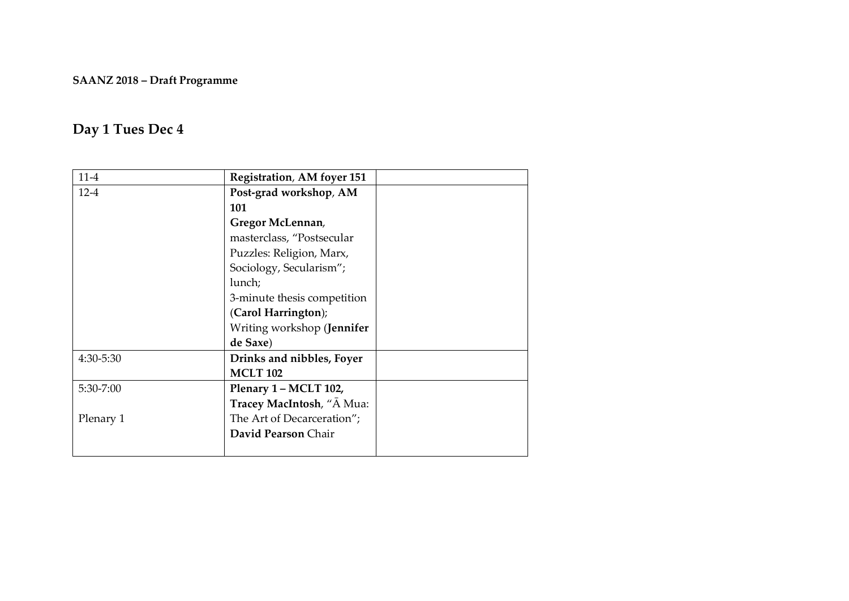#### **SAANZ 2018 – Draft Programme**

#### **Day 1 Tues Dec 4**

| $11-4$    | <b>Registration, AM foyer 151</b> |  |
|-----------|-----------------------------------|--|
| $12-4$    | Post-grad workshop, AM            |  |
|           | 101                               |  |
|           | Gregor McLennan,                  |  |
|           | masterclass, "Postsecular         |  |
|           | Puzzles: Religion, Marx,          |  |
|           | Sociology, Secularism";           |  |
|           | lunch;                            |  |
|           | 3-minute thesis competition       |  |
|           | (Carol Harrington);               |  |
|           | Writing workshop (Jennifer        |  |
|           | de Saxe)                          |  |
| 4:30-5:30 | Drinks and nibbles, Foyer         |  |
|           | <b>MCLT 102</b>                   |  |
| 5:30-7:00 | Plenary 1 – MCLT 102,             |  |
|           | Tracey MacIntosh, "A Mua:         |  |
| Plenary 1 | The Art of Decarceration";        |  |
|           | David Pearson Chair               |  |
|           |                                   |  |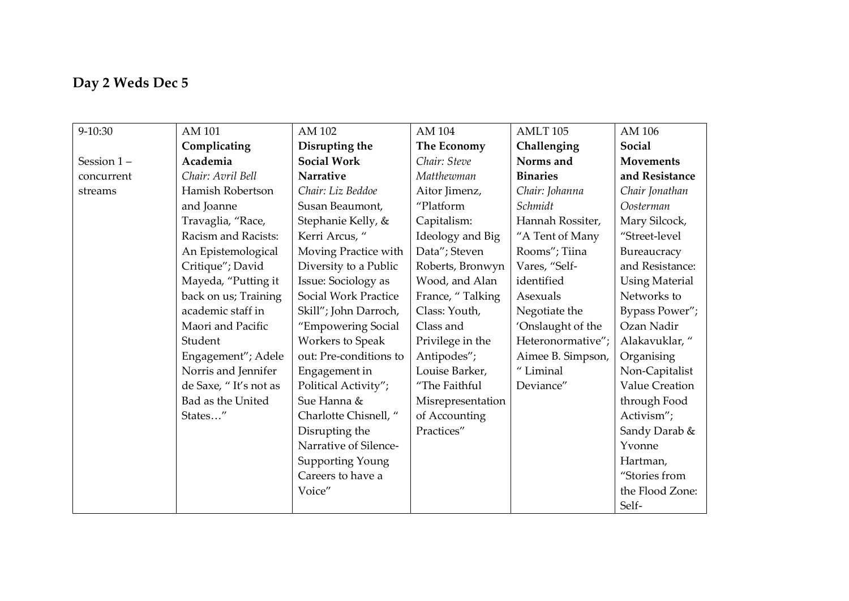## **Day 2 Weds Dec 5**

| 9-10:30    | AM 101                | AM 102                  | AM 104            | AMLT <sub>105</sub>  | AM 106                |
|------------|-----------------------|-------------------------|-------------------|----------------------|-----------------------|
|            | Complicating          | Disrupting the          | The Economy       | Challenging          | Social                |
| Session 1- | Academia              | <b>Social Work</b>      | Chair: Steve      | Norms and            | <b>Movements</b>      |
| concurrent | Chair: Avril Bell     | Narrative               | Matthewman        | <b>Binaries</b>      | and Resistance        |
| streams    | Hamish Robertson      | Chair: Liz Beddoe       | Aitor Jimenz,     | Chair: Johanna       | Chair Jonathan        |
|            | and Joanne            | Susan Beaumont,         | "Platform         | Schmidt              | Oosterman             |
|            | Travaglia, "Race,     | Stephanie Kelly, &      | Capitalism:       | Hannah Rossiter,     | Mary Silcock,         |
|            | Racism and Racists:   | Kerri Arcus, "          | Ideology and Big  | "A Tent of Many      | "Street-level         |
|            | An Epistemological    | Moving Practice with    | Data"; Steven     | Rooms"; Tiina        | Bureaucracy           |
|            | Critique"; David      | Diversity to a Public   | Roberts, Bronwyn  | Vares, "Self-        | and Resistance:       |
|            | Mayeda, "Putting it   | Issue: Sociology as     | Wood, and Alan    | identified           | <b>Using Material</b> |
|            | back on us; Training  | Social Work Practice    | France, "Talking  | Asexuals             | Networks to           |
|            | academic staff in     | Skill"; John Darroch,   | Class: Youth,     | Negotiate the        | Bypass Power";        |
|            | Maori and Pacific     | "Empowering Social      | Class and         | 'Onslaught of the    | Ozan Nadir            |
|            | Student               | <b>Workers to Speak</b> | Privilege in the  | Heteronormative";    | Alakavuklar, "        |
|            | Engagement"; Adele    | out: Pre-conditions to  | Antipodes";       | Aimee B. Simpson,    | Organising            |
|            | Norris and Jennifer   | Engagement in           | Louise Barker,    | $\mathrm{``Liminal}$ | Non-Capitalist        |
|            | de Saxe, "It's not as | Political Activity";    | "The Faithful     | Deviance"            | Value Creation        |
|            | Bad as the United     | Sue Hanna &             | Misrepresentation |                      | through Food          |
|            | States"               | Charlotte Chisnell, "   | of Accounting     |                      | Activism";            |
|            |                       | Disrupting the          | Practices"        |                      | Sandy Darab &         |
|            |                       | Narrative of Silence-   |                   |                      | Yvonne                |
|            |                       | Supporting Young        |                   |                      | Hartman,              |
|            |                       | Careers to have a       |                   |                      | "Stories from         |
|            |                       | Voice"                  |                   |                      | the Flood Zone:       |
|            |                       |                         |                   |                      | Self-                 |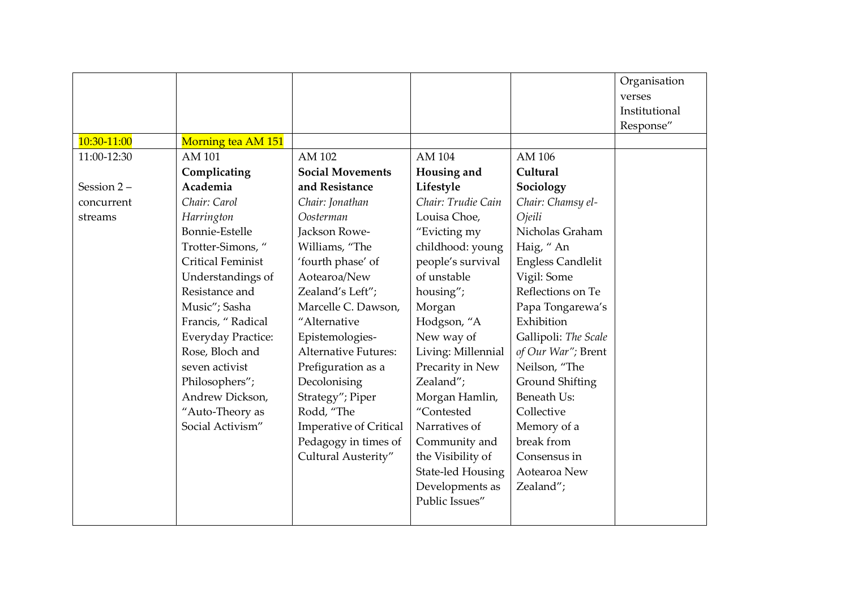|             |                           |                               |                          |                          | Organisation  |
|-------------|---------------------------|-------------------------------|--------------------------|--------------------------|---------------|
|             |                           |                               |                          |                          | verses        |
|             |                           |                               |                          |                          | Institutional |
|             |                           |                               |                          |                          | Response"     |
| 10:30-11:00 | Morning tea AM 151        |                               |                          |                          |               |
| 11:00-12:30 | AM 101                    | AM 102                        | AM 104                   | AM 106                   |               |
|             | Complicating              | <b>Social Movements</b>       | Housing and              | Cultural                 |               |
| Session 2-  | Academia                  | and Resistance                | Lifestyle                | Sociology                |               |
| concurrent  | Chair: Carol              | Chair: Jonathan               | Chair: Trudie Cain       | Chair: Chamsy el-        |               |
| streams     | Harrington                | Oosterman                     | Louisa Choe,             | Ojeili                   |               |
|             | Bonnie-Estelle            | Jackson Rowe-                 | "Evicting my             | Nicholas Graham          |               |
|             | Trotter-Simons,"          | Williams, "The                | childhood: young         | Haig, "An                |               |
|             | <b>Critical Feminist</b>  | 'fourth phase' of             | people's survival        | <b>Engless Candlelit</b> |               |
|             | Understandings of         | Aotearoa/New                  | of unstable              | Vigil: Some              |               |
|             | Resistance and            | Zealand's Left";              | housing";                | Reflections on Te        |               |
|             | Music"; Sasha             | Marcelle C. Dawson,           | Morgan                   | Papa Tongarewa's         |               |
|             | Francis, "Radical         | "Alternative                  | Hodgson, "A              | Exhibition               |               |
|             | <b>Everyday Practice:</b> | Epistemologies-               | New way of               | Gallipoli: The Scale     |               |
|             | Rose, Bloch and           | <b>Alternative Futures:</b>   | Living: Millennial       | of Our War"; Brent       |               |
|             | seven activist            | Prefiguration as a            | Precarity in New         | Neilson, "The            |               |
|             | Philosophers";            | Decolonising                  | Zealand";                | Ground Shifting          |               |
|             | Andrew Dickson,           | Strategy"; Piper              | Morgan Hamlin,           | Beneath Us:              |               |
|             | "Auto-Theory as           | Rodd, "The                    | "Contested               | Collective               |               |
|             | Social Activism"          | <b>Imperative of Critical</b> | Narratives of            | Memory of a              |               |
|             |                           | Pedagogy in times of          | Community and            | break from               |               |
|             |                           | Cultural Austerity"           | the Visibility of        | Consensus in             |               |
|             |                           |                               | <b>State-led Housing</b> | Aotearoa New             |               |
|             |                           |                               | Developments as          | Zealand";                |               |
|             |                           |                               | Public Issues"           |                          |               |
|             |                           |                               |                          |                          |               |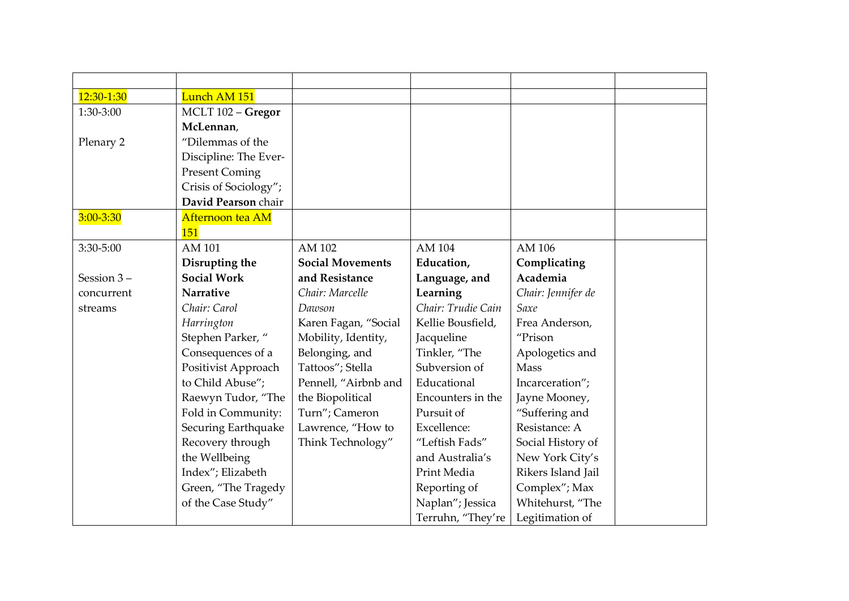| 12:30-1:30    | Lunch AM 151          |                         |                    |                    |
|---------------|-----------------------|-------------------------|--------------------|--------------------|
| 1:30-3:00     | MCLT 102 - Gregor     |                         |                    |                    |
|               | McLennan,             |                         |                    |                    |
| Plenary 2     | "Dilemmas of the      |                         |                    |                    |
|               | Discipline: The Ever- |                         |                    |                    |
|               | <b>Present Coming</b> |                         |                    |                    |
|               | Crisis of Sociology"; |                         |                    |                    |
|               | David Pearson chair   |                         |                    |                    |
| $3:00 - 3:30$ | Afternoon tea AM      |                         |                    |                    |
|               | 151                   |                         |                    |                    |
| 3:30-5:00     | AM 101                | AM 102                  | AM 104             | AM 106             |
|               | Disrupting the        | <b>Social Movements</b> | Education,         | Complicating       |
| Session 3-    | <b>Social Work</b>    | and Resistance          | Language, and      | Academia           |
| concurrent    | <b>Narrative</b>      | Chair: Marcelle         | Learning           | Chair: Jennifer de |
| streams       | Chair: Carol          | Dawson                  | Chair: Trudie Cain | Saxe               |
|               | Harrington            | Karen Fagan, "Social    | Kellie Bousfield,  | Frea Anderson,     |
|               | Stephen Parker, "     | Mobility, Identity,     | Jacqueline         | "Prison            |
|               | Consequences of a     | Belonging, and          | Tinkler, "The      | Apologetics and    |
|               | Positivist Approach   | Tattoos"; Stella        | Subversion of      | Mass               |
|               | to Child Abuse";      | Pennell, "Airbnb and    | Educational        | Incarceration";    |
|               | Raewyn Tudor, "The    | the Biopolitical        | Encounters in the  | Jayne Mooney,      |
|               | Fold in Community:    | Turn"; Cameron          | Pursuit of         | "Suffering and     |
|               | Securing Earthquake   | Lawrence, "How to       | Excellence:        | Resistance: A      |
|               | Recovery through      | Think Technology"       | "Leftish Fads"     | Social History of  |
|               | the Wellbeing         |                         | and Australia's    | New York City's    |
|               | Index"; Elizabeth     |                         | Print Media        | Rikers Island Jail |
|               | Green, "The Tragedy   |                         | Reporting of       | Complex"; Max      |
|               | of the Case Study"    |                         | Naplan"; Jessica   | Whitehurst, "The   |
|               |                       |                         | Terruhn, "They're  | Legitimation of    |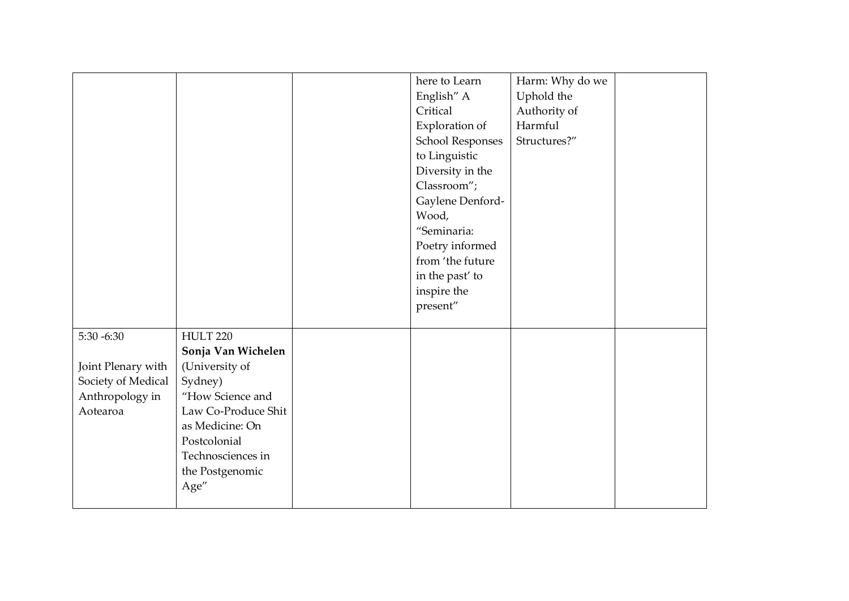|                    |                     | here to Learn    | Harm: Why do we |  |
|--------------------|---------------------|------------------|-----------------|--|
|                    |                     | English" A       | Uphold the      |  |
|                    |                     | Critical         | Authority of    |  |
|                    |                     | Exploration of   | Harmful         |  |
|                    |                     | School Responses | Structures?"    |  |
|                    |                     | to Linguistic    |                 |  |
|                    |                     | Diversity in the |                 |  |
|                    |                     | Classroom";      |                 |  |
|                    |                     | Gaylene Denford- |                 |  |
|                    |                     | Wood,            |                 |  |
|                    |                     | "Seminaria:      |                 |  |
|                    |                     | Poetry informed  |                 |  |
|                    |                     | from 'the future |                 |  |
|                    |                     | in the past' to  |                 |  |
|                    |                     | inspire the      |                 |  |
|                    |                     | present"         |                 |  |
|                    |                     |                  |                 |  |
| $5:30 - 6:30$      | <b>HULT 220</b>     |                  |                 |  |
|                    | Sonja Van Wichelen  |                  |                 |  |
| Joint Plenary with | (University of      |                  |                 |  |
| Society of Medical | Sydney)             |                  |                 |  |
| Anthropology in    | "How Science and    |                  |                 |  |
| Aotearoa           | Law Co-Produce Shit |                  |                 |  |
|                    | as Medicine: On     |                  |                 |  |
|                    | Postcolonial        |                  |                 |  |
|                    | Technosciences in   |                  |                 |  |
|                    | the Postgenomic     |                  |                 |  |
|                    | Age"                |                  |                 |  |
|                    |                     |                  |                 |  |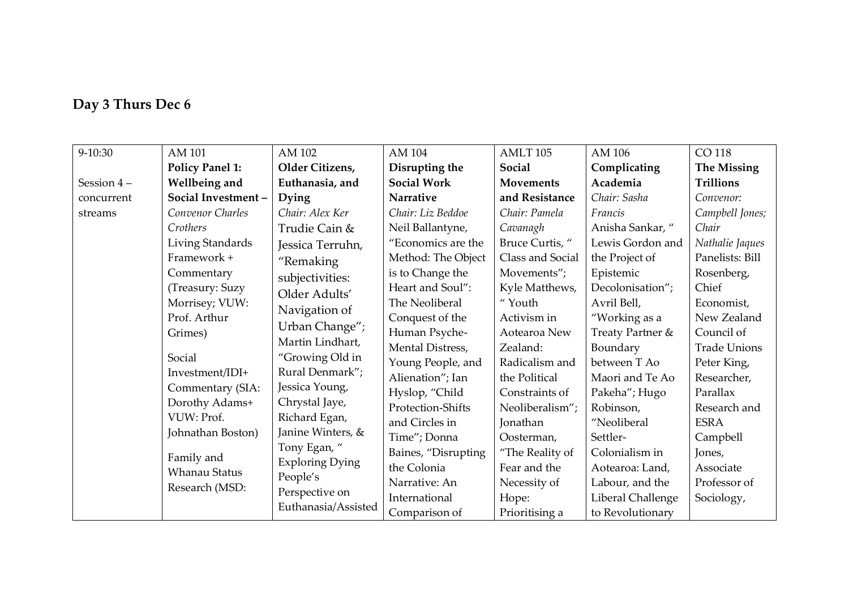## **Day 3 Thurs Dec 6**

| 9-10:30      | AM 101                 | AM 102                 | AM 104              | AMLT <sub>105</sub> | AM 106            | CO 118              |
|--------------|------------------------|------------------------|---------------------|---------------------|-------------------|---------------------|
|              | <b>Policy Panel 1:</b> | Older Citizens,        | Disrupting the      | Social              | Complicating      | <b>The Missing</b>  |
| Session $4-$ | Wellbeing and          | Euthanasia, and        | <b>Social Work</b>  | <b>Movements</b>    | Academia          | <b>Trillions</b>    |
| concurrent   | Social Investment-     | Dying                  | Narrative           | and Resistance      | Chair: Sasha      | Convenor:           |
| streams      | Convenor Charles       | Chair: Alex Ker        | Chair: Liz Beddoe   | Chair: Pamela       | Francis           | Campbell Jones;     |
|              | Crothers               | Trudie Cain &          | Neil Ballantyne,    | Cavanagh            | Anisha Sankar, "  | Chair               |
|              | Living Standards       | Jessica Terruhn,       | "Economics are the  | Bruce Curtis, "     | Lewis Gordon and  | Nathalie Jaques     |
|              | Framework +            | "Remaking              | Method: The Object  | Class and Social    | the Project of    | Panelists: Bill     |
|              | Commentary             | subjectivities:        | is to Change the    | Movements";         | Epistemic         | Rosenberg,          |
|              | (Treasury: Suzy        | Older Adults'          | Heart and Soul":    | Kyle Matthews,      | Decolonisation";  | Chief               |
|              | Morrisey; VUW:         | Navigation of          | The Neoliberal      | "Youth              | Avril Bell,       | Economist,          |
|              | Prof. Arthur           | Urban Change";         | Conquest of the     | Activism in         | "Working as a     | New Zealand         |
|              | Grimes)                | Martin Lindhart,       | Human Psyche-       | Aotearoa New        | Treaty Partner &  | Council of          |
|              |                        |                        | Mental Distress,    | Zealand:            | Boundary          | <b>Trade Unions</b> |
|              | Social                 | "Growing Old in        | Young People, and   | Radicalism and      | between T Ao      | Peter King,         |
|              | Investment/IDI+        | Rural Denmark";        | Alienation"; Ian    | the Political       | Maori and Te Ao   | Researcher,         |
|              | Commentary (SIA:       | Jessica Young,         | Hyslop, "Child      | Constraints of      | Pakeha"; Hugo     | Parallax            |
|              | Dorothy Adams+         | Chrystal Jaye,         | Protection-Shifts   | Neoliberalism";     | Robinson,         | Research and        |
|              | VUW: Prof.             | Richard Egan,          | and Circles in      | Jonathan            | "Neoliberal       | <b>ESRA</b>         |
|              | Johnathan Boston)      | Janine Winters, &      | Time"; Donna        | Oosterman,          | Settler-          | Campbell            |
|              | Family and             | Tony Egan, "           | Baines, "Disrupting | "The Reality of     | Colonialism in    | Jones,              |
|              | <b>Whanau Status</b>   | <b>Exploring Dying</b> | the Colonia         | Fear and the        | Aotearoa: Land,   | Associate           |
|              | Research (MSD:         | People's               | Narrative: An       | Necessity of        | Labour, and the   | Professor of        |
|              |                        | Perspective on         | International       | Hope:               | Liberal Challenge | Sociology,          |
|              |                        | Euthanasia/Assisted    | Comparison of       | Prioritising a      | to Revolutionary  |                     |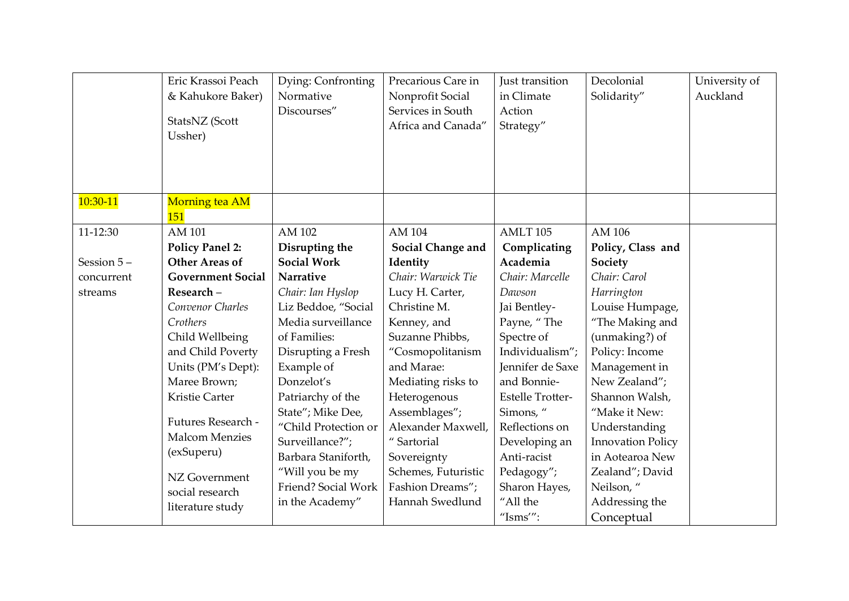|            | Eric Krassoi Peach<br>& Kahukore Baker)<br>StatsNZ (Scott<br>Ussher) | Dying: Confronting<br>Normative<br>Discourses" | Precarious Care in<br>Nonprofit Social<br>Services in South<br>Africa and Canada" | Just transition<br>in Climate<br>Action<br>Strategy" | Decolonial<br>Solidarity"   | University of<br>Auckland |
|------------|----------------------------------------------------------------------|------------------------------------------------|-----------------------------------------------------------------------------------|------------------------------------------------------|-----------------------------|---------------------------|
| 10:30-11   | Morning tea AM<br>151                                                |                                                |                                                                                   |                                                      |                             |                           |
| 11-12:30   | AM 101<br><b>Policy Panel 2:</b>                                     | AM 102<br>Disrupting the                       | AM 104<br>Social Change and                                                       | AMLT <sub>105</sub><br>Complicating                  | AM 106<br>Policy, Class and |                           |
| Session 5- | <b>Other Areas of</b>                                                | <b>Social Work</b>                             | Identity                                                                          | Academia                                             | Society                     |                           |
| concurrent | <b>Government Social</b>                                             | Narrative                                      | Chair: Warwick Tie                                                                | Chair: Marcelle                                      | Chair: Carol                |                           |
| streams    | Research-                                                            | Chair: Ian Hyslop                              | Lucy H. Carter,                                                                   | Dawson                                               | Harrington                  |                           |
|            | Convenor Charles                                                     | Liz Beddoe, "Social                            | Christine M.                                                                      | Jai Bentley-                                         | Louise Humpage,             |                           |
|            | Crothers                                                             | Media surveillance                             | Kenney, and                                                                       | Payne, "The                                          | "The Making and             |                           |
|            | Child Wellbeing                                                      | of Families:                                   | Suzanne Phibbs,                                                                   | Spectre of                                           | (unmaking?) of              |                           |
|            | and Child Poverty                                                    | Disrupting a Fresh                             | "Cosmopolitanism                                                                  | Individualism";                                      | Policy: Income              |                           |
|            | Units (PM's Dept):                                                   | Example of                                     | and Marae:                                                                        | Jennifer de Saxe                                     | Management in               |                           |
|            | Maree Brown;                                                         | Donzelot's                                     | Mediating risks to                                                                | and Bonnie-                                          | New Zealand";               |                           |
|            | Kristie Carter                                                       | Patriarchy of the                              | Heterogenous                                                                      | <b>Estelle Trotter-</b>                              | Shannon Walsh,              |                           |
|            |                                                                      | State"; Mike Dee,                              | Assemblages";                                                                     | Simons, "                                            | "Make it New:               |                           |
|            | Futures Research -                                                   | "Child Protection or                           | Alexander Maxwell,                                                                | Reflections on                                       | Understanding               |                           |
|            | <b>Malcom Menzies</b>                                                | Surveillance?";                                | " Sartorial                                                                       | Developing an                                        | <b>Innovation Policy</b>    |                           |
|            | (exSuperu)                                                           | Barbara Staniforth,                            | Sovereignty                                                                       | Anti-racist                                          | in Aotearoa New             |                           |
|            | NZ Government                                                        | "Will you be my                                | Schemes, Futuristic                                                               | Pedagogy";                                           | Zealand"; David             |                           |
|            | social research                                                      | Friend? Social Work                            | Fashion Dreams";                                                                  | Sharon Hayes,                                        | Neilson, "                  |                           |
|            | literature study                                                     | in the Academy"                                | Hannah Swedlund                                                                   | "All the                                             | Addressing the              |                           |
|            |                                                                      |                                                |                                                                                   | "Isms"":                                             | Conceptual                  |                           |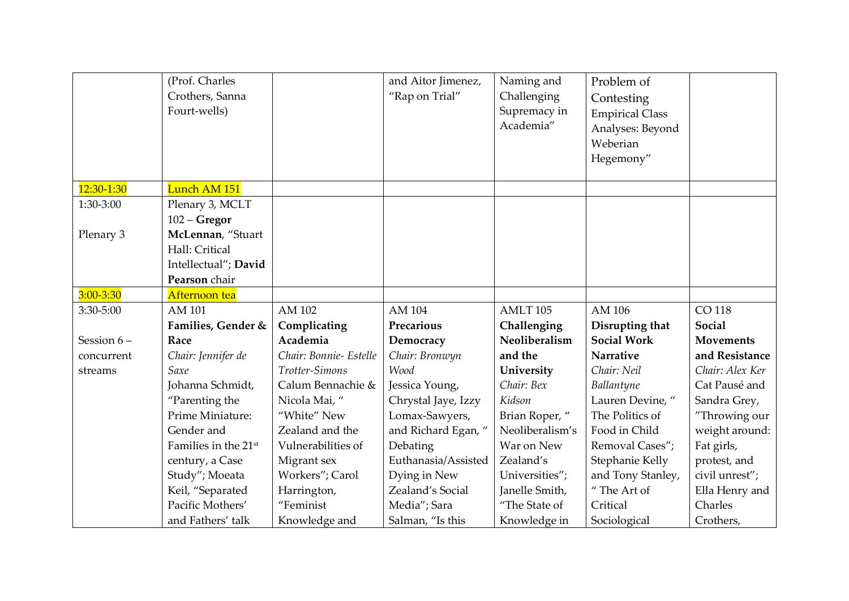|               | (Prof. Charles<br>Crothers, Sanna<br>Fourt-wells) |                        | and Aitor Jimenez,<br>"Rap on Trial" | Naming and<br>Challenging<br>Supremacy in<br>Academia" | Problem of<br>Contesting<br><b>Empirical Class</b><br>Analyses: Beyond |                  |
|---------------|---------------------------------------------------|------------------------|--------------------------------------|--------------------------------------------------------|------------------------------------------------------------------------|------------------|
|               |                                                   |                        |                                      |                                                        | Weberian<br>Hegemony"                                                  |                  |
|               |                                                   |                        |                                      |                                                        |                                                                        |                  |
| $12:30-1:30$  | Lunch AM 151                                      |                        |                                      |                                                        |                                                                        |                  |
| 1:30-3:00     | Plenary 3, MCLT                                   |                        |                                      |                                                        |                                                                        |                  |
|               | $102 - Gregor$                                    |                        |                                      |                                                        |                                                                        |                  |
| Plenary 3     | McLennan, "Stuart                                 |                        |                                      |                                                        |                                                                        |                  |
|               | Hall: Critical                                    |                        |                                      |                                                        |                                                                        |                  |
|               | Intellectual"; David                              |                        |                                      |                                                        |                                                                        |                  |
|               | Pearson chair                                     |                        |                                      |                                                        |                                                                        |                  |
| $3:00 - 3:30$ | Afternoon tea                                     |                        |                                      |                                                        |                                                                        |                  |
| 3:30-5:00     | AM 101                                            | AM 102                 | AM 104                               | AMLT <sub>105</sub>                                    | AM 106                                                                 | CO 118           |
|               | Families, Gender &                                | Complicating           | Precarious                           | Challenging                                            | Disrupting that                                                        | <b>Social</b>    |
| Session 6-    | Race                                              | Academia               | Democracy                            | Neoliberalism                                          | <b>Social Work</b>                                                     | <b>Movements</b> |
| concurrent    | Chair: Jennifer de                                | Chair: Bonnie- Estelle | Chair: Bronwyn                       | and the                                                | <b>Narrative</b>                                                       | and Resistance   |
| streams       | Saxe                                              | Trotter-Simons         | Wood                                 | University                                             | Chair: Neil                                                            | Chair: Alex Ker  |
|               | Johanna Schmidt,                                  | Calum Bennachie &      | Jessica Young,                       | Chair: Bex                                             | Ballantyne                                                             | Cat Pausé and    |
|               | "Parenting the                                    | Nicola Mai, "          | Chrystal Jaye, Izzy                  | Kidson                                                 | Lauren Devine, "                                                       | Sandra Grey,     |
|               | Prime Miniature:                                  | "White" New            | Lomax-Sawyers,                       | Brian Roper, "                                         | The Politics of                                                        | "Throwing our    |
|               | Gender and                                        | Zealand and the        | and Richard Egan, "                  | Neoliberalism's                                        | Food in Child                                                          | weight around:   |
|               | Families in the 21 <sup>st</sup>                  | Vulnerabilities of     | Debating                             | War on New                                             | Removal Cases";                                                        | Fat girls,       |
|               | century, a Case                                   | Migrant sex            | Euthanasia/Assisted                  | Zealand's                                              | Stephanie Kelly                                                        | protest, and     |
|               | Study"; Moeata                                    | Workers"; Carol        | Dying in New                         | Universities";                                         | and Tony Stanley,                                                      | civil unrest";   |
|               | Keil, "Separated                                  | Harrington,            | Zealand's Social                     | Janelle Smith,                                         | "The Art of                                                            | Ella Henry and   |
|               | Pacific Mothers'                                  | "Feminist              | Media"; Sara                         | "The State of                                          | Critical                                                               | Charles          |
|               | and Fathers' talk                                 | Knowledge and          | Salman, "Is this                     | Knowledge in                                           | Sociological                                                           | Crothers,        |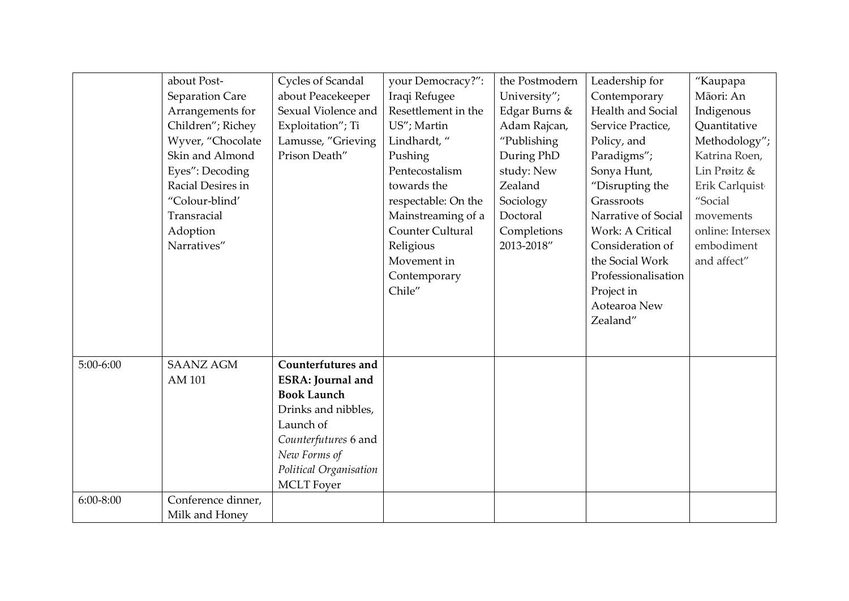|             | about Post-        | Cycles of Scandal        | your Democracy?":   | the Postmodern | Leadership for          | "Kaupapa         |
|-------------|--------------------|--------------------------|---------------------|----------------|-------------------------|------------------|
|             | Separation Care    | about Peacekeeper        | Iraqi Refugee       | University";   | Contemporary            | Māori: An        |
|             | Arrangements for   | Sexual Violence and      | Resettlement in the | Edgar Burns &  | Health and Social       | Indigenous       |
|             | Children"; Richey  | Exploitation"; Ti        | US"; Martin         | Adam Rajcan,   | Service Practice,       | Quantitative     |
|             | Wyver, "Chocolate  | Lamusse, "Grieving       | Lindhardt, "        | "Publishing    | Policy, and             | Methodology";    |
|             | Skin and Almond    | Prison Death"            | Pushing             | During PhD     | Paradigms";             | Katrina Roen,    |
|             | Eyes": Decoding    |                          | Pentecostalism      | study: New     | Sonya Hunt,             | Lin Prøitz &     |
|             | Racial Desires in  |                          | towards the         | Zealand        | "Disrupting the         | Erik Carlquist   |
|             | "Colour-blind'     |                          | respectable: On the | Sociology      | Grassroots              | "Social          |
|             | Transracial        |                          | Mainstreaming of a  | Doctoral       | Narrative of Social     | movements        |
|             | Adoption           |                          | Counter Cultural    | Completions    | <b>Work: A Critical</b> | online: Intersex |
|             | Narratives"        |                          | Religious           | 2013-2018"     | Consideration of        | embodiment       |
|             |                    |                          | Movement in         |                | the Social Work         | and affect"      |
|             |                    |                          | Contemporary        |                | Professionalisation     |                  |
|             |                    |                          | Chile"              |                | Project in              |                  |
|             |                    |                          |                     |                | Aotearoa New            |                  |
|             |                    |                          |                     |                | Zealand"                |                  |
|             |                    |                          |                     |                |                         |                  |
|             |                    |                          |                     |                |                         |                  |
| $5:00-6:00$ | <b>SAANZ AGM</b>   | Counterfutures and       |                     |                |                         |                  |
|             | AM 101             | <b>ESRA: Journal and</b> |                     |                |                         |                  |
|             |                    | <b>Book Launch</b>       |                     |                |                         |                  |
|             |                    | Drinks and nibbles,      |                     |                |                         |                  |
|             |                    | Launch of                |                     |                |                         |                  |
|             |                    | Counterfutures 6 and     |                     |                |                         |                  |
|             |                    | New Forms of             |                     |                |                         |                  |
|             |                    | Political Organisation   |                     |                |                         |                  |
|             |                    | <b>MCLT</b> Foyer        |                     |                |                         |                  |
| $6:00-8:00$ | Conference dinner, |                          |                     |                |                         |                  |
|             | Milk and Honey     |                          |                     |                |                         |                  |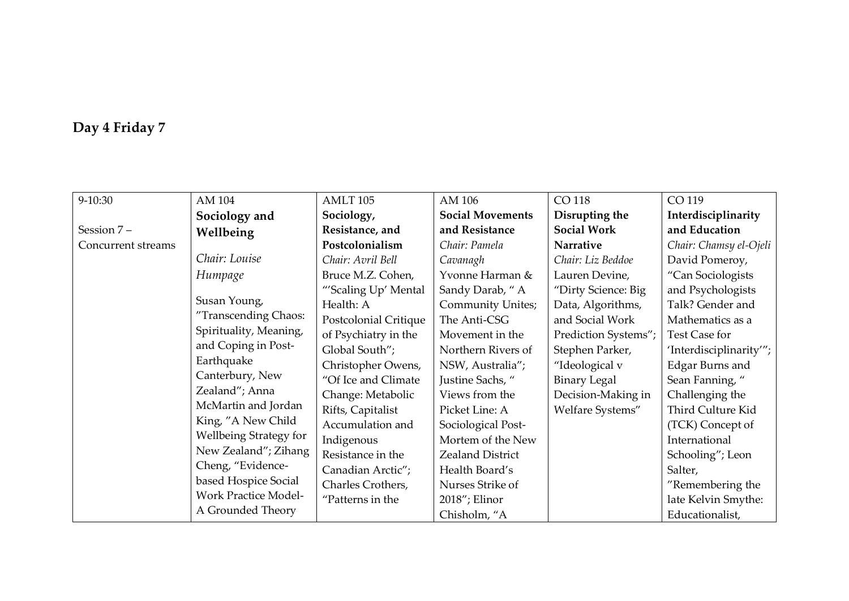# **Day 4 Friday 7**

| 9-10:30            | AM 104                      | AMLT <sub>105</sub>   | AM 106                  | CO 118               | CO 119                 |
|--------------------|-----------------------------|-----------------------|-------------------------|----------------------|------------------------|
|                    | Sociology and               | Sociology,            | <b>Social Movements</b> | Disrupting the       | Interdisciplinarity    |
| Session 7-         | Wellbeing                   | Resistance, and       | and Resistance          | <b>Social Work</b>   | and Education          |
| Concurrent streams |                             | Postcolonialism       | Chair: Pamela           | Narrative            | Chair: Chamsy el-Ojeli |
|                    | Chair: Louise               | Chair: Avril Bell     | Cavanagh                | Chair: Liz Beddoe    | David Pomeroy,         |
|                    | Humpage                     | Bruce M.Z. Cohen,     | Yvonne Harman &         | Lauren Devine,       | "Can Sociologists      |
|                    |                             | "'Scaling Up' Mental  | Sandy Darab, "A         | "Dirty Science: Big  | and Psychologists      |
|                    | Susan Young,                | Health: A             | Community Unites;       | Data, Algorithms,    | Talk? Gender and       |
|                    | "Transcending Chaos:        | Postcolonial Critique | The Anti-CSG            | and Social Work      | Mathematics as a       |
|                    | Spirituality, Meaning,      | of Psychiatry in the  | Movement in the         | Prediction Systems"; | Test Case for          |
|                    | and Coping in Post-         | Global South";        | Northern Rivers of      | Stephen Parker,      | 'Interdisciplinarity"; |
|                    | Earthquake                  | Christopher Owens,    | NSW, Australia";        | "Ideological v       | Edgar Burns and        |
|                    | Canterbury, New             | "Of Ice and Climate   | Justine Sachs, "        | <b>Binary Legal</b>  | Sean Fanning, "        |
|                    | Zealand"; Anna              | Change: Metabolic     | Views from the          | Decision-Making in   | Challenging the        |
|                    | McMartin and Jordan         | Rifts, Capitalist     | Picket Line: A          | Welfare Systems"     | Third Culture Kid      |
|                    | King, "A New Child          | Accumulation and      | Sociological Post-      |                      | (TCK) Concept of       |
|                    | Wellbeing Strategy for      | Indigenous            | Mortem of the New       |                      | International          |
|                    | New Zealand"; Zihang        | Resistance in the     | Zealand District        |                      | Schooling"; Leon       |
|                    | Cheng, "Evidence-           | Canadian Arctic";     | Health Board's          |                      | Salter,                |
|                    | based Hospice Social        | Charles Crothers,     | Nurses Strike of        |                      | "Remembering the       |
|                    | <b>Work Practice Model-</b> | "Patterns in the      | 2018"; Elinor           |                      | late Kelvin Smythe:    |
|                    | A Grounded Theory           |                       | Chisholm, "A            |                      | Educationalist,        |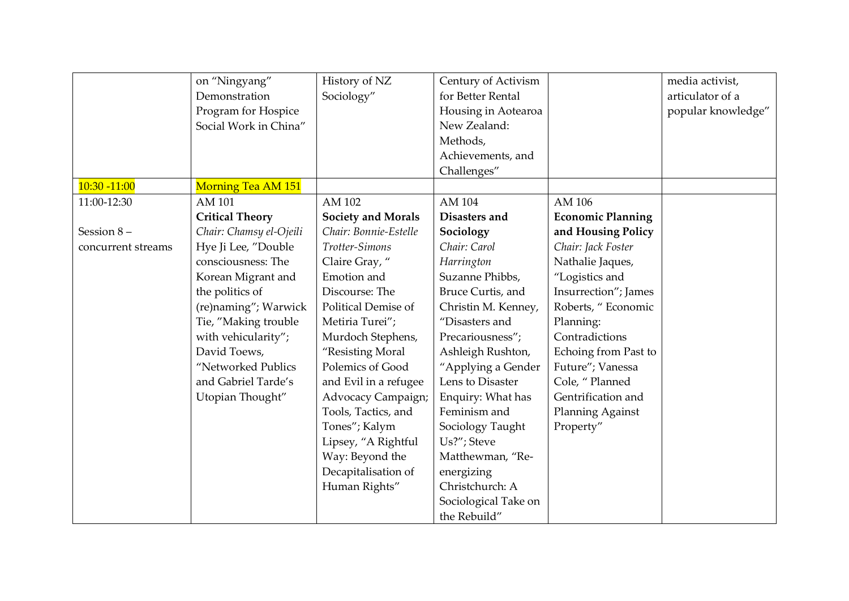|                    | on "Ningyang"           | History of NZ             | Century of Activism  |                          | media activist,    |
|--------------------|-------------------------|---------------------------|----------------------|--------------------------|--------------------|
|                    | Demonstration           | Sociology"                | for Better Rental    |                          | articulator of a   |
|                    | Program for Hospice     |                           | Housing in Aotearoa  |                          | popular knowledge" |
|                    | Social Work in China"   |                           | New Zealand:         |                          |                    |
|                    |                         |                           | Methods,             |                          |                    |
|                    |                         |                           | Achievements, and    |                          |                    |
|                    |                         |                           | Challenges"          |                          |                    |
| $10:30 - 11:00$    | Morning Tea AM 151      |                           |                      |                          |                    |
| 11:00-12:30        | AM 101                  | AM 102                    | AM 104               | AM 106                   |                    |
|                    | <b>Critical Theory</b>  | <b>Society and Morals</b> | Disasters and        | <b>Economic Planning</b> |                    |
| Session 8-         | Chair: Chamsy el-Ojeili | Chair: Bonnie-Estelle     | Sociology            | and Housing Policy       |                    |
| concurrent streams | Hye Ji Lee, "Double     | Trotter-Simons            | Chair: Carol         | Chair: Jack Foster       |                    |
|                    | consciousness: The      | Claire Gray, "            | Harrington           | Nathalie Jaques,         |                    |
|                    | Korean Migrant and      | Emotion and               | Suzanne Phibbs,      | "Logistics and           |                    |
|                    | the politics of         | Discourse: The            | Bruce Curtis, and    | Insurrection"; James     |                    |
|                    | (re)naming"; Warwick    | Political Demise of       | Christin M. Kenney,  | Roberts, "Economic       |                    |
|                    | Tie, "Making trouble    | Metiria Turei";           | "Disasters and       | Planning:                |                    |
|                    | with vehicularity";     | Murdoch Stephens,         | Precariousness";     | Contradictions           |                    |
|                    | David Toews,            | "Resisting Moral          | Ashleigh Rushton,    | Echoing from Past to     |                    |
|                    | "Networked Publics      | Polemics of Good          | "Applying a Gender   | Future"; Vanessa         |                    |
|                    | and Gabriel Tarde's     | and Evil in a refugee     | Lens to Disaster     | Cole, "Planned           |                    |
|                    | Utopian Thought"        | Advocacy Campaign;        | Enquiry: What has    | Gentrification and       |                    |
|                    |                         | Tools, Tactics, and       | Feminism and         | Planning Against         |                    |
|                    |                         | Tones"; Kalym             | Sociology Taught     | Property"                |                    |
|                    |                         | Lipsey, "A Rightful       | Us?"; Steve          |                          |                    |
|                    |                         | Way: Beyond the           | Matthewman, "Re-     |                          |                    |
|                    |                         | Decapitalisation of       | energizing           |                          |                    |
|                    |                         | Human Rights"             | Christchurch: A      |                          |                    |
|                    |                         |                           | Sociological Take on |                          |                    |
|                    |                         |                           | the Rebuild"         |                          |                    |